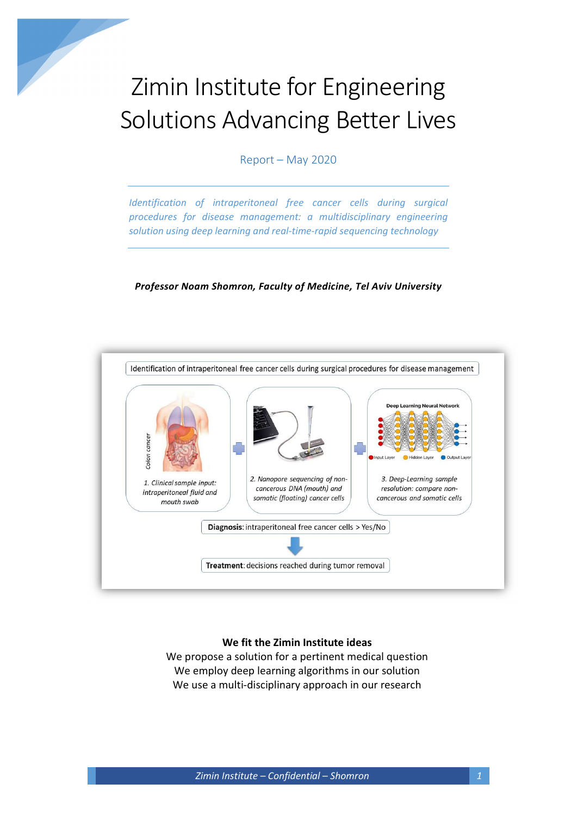# Zimin Institute for Engineering Solutions Advancing Better Lives

Report – May 2020

Identification of intraperitoneal free cancer cells during surgical procedures for disease management: a multidisciplinary engineering solution using deep learning and real-time-rapid sequencing technology

#### Professor Noam Shomron, Faculty of Medicine, Tel Aviv University



#### We fit the Zimin Institute ideas

We propose a solution for a pertinent medical question We employ deep learning algorithms in our solution We use a multi-disciplinary approach in our research